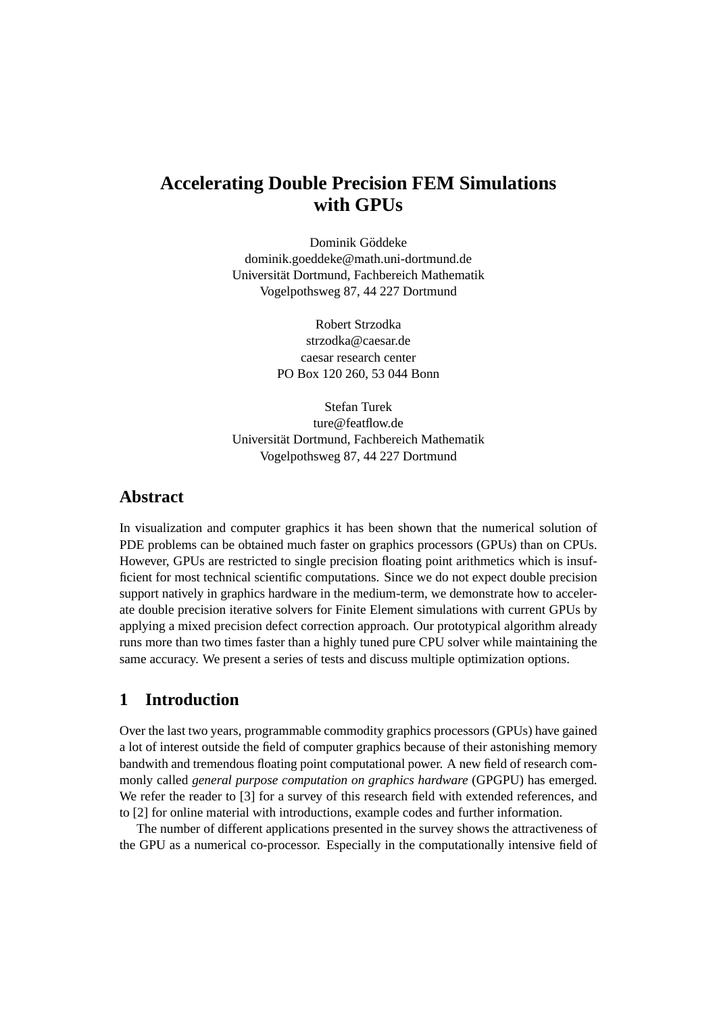# **Accelerating Double Precision FEM Simulations with GPUs**

Dominik Göddeke dominik.goeddeke@math.uni-dortmund.de Universitat Dortmund, Fachbereich Mathematik ¨ Vogelpothsweg 87, 44 227 Dortmund

> Robert Strzodka strzodka@caesar.de caesar research center PO Box 120 260, 53 044 Bonn

Stefan Turek ture@featflow.de Universitat Dortmund, Fachbereich Mathematik ¨ Vogelpothsweg 87, 44 227 Dortmund

# **Abstract**

In visualization and computer graphics it has been shown that the numerical solution of PDE problems can be obtained much faster on graphics processors (GPUs) than on CPUs. However, GPUs are restricted to single precision floating point arithmetics which is insufficient for most technical scientific computations. Since we do not expect double precision support natively in graphics hardware in the medium-term, we demonstrate how to accelerate double precision iterative solvers for Finite Element simulations with current GPUs by applying a mixed precision defect correction approach. Our prototypical algorithm already runs more than two times faster than a highly tuned pure CPU solver while maintaining the same accuracy. We present a series of tests and discuss multiple optimization options.

# **1 Introduction**

Over the last two years, programmable commodity graphics processors (GPUs) have gained a lot of interest outside the field of computer graphics because of their astonishing memory bandwith and tremendous floating point computational power. A new field of research commonly called *general purpose computation on graphics hardware* (GPGPU) has emerged. We refer the reader to [\[3\]](#page-5-0) for a survey of this research field with extended references, and to [\[2\]](#page-5-1) for online material with introductions, example codes and further information.

The number of different applications presented in the survey shows the attractiveness of the GPU as a numerical co-processor. Especially in the computationally intensive field of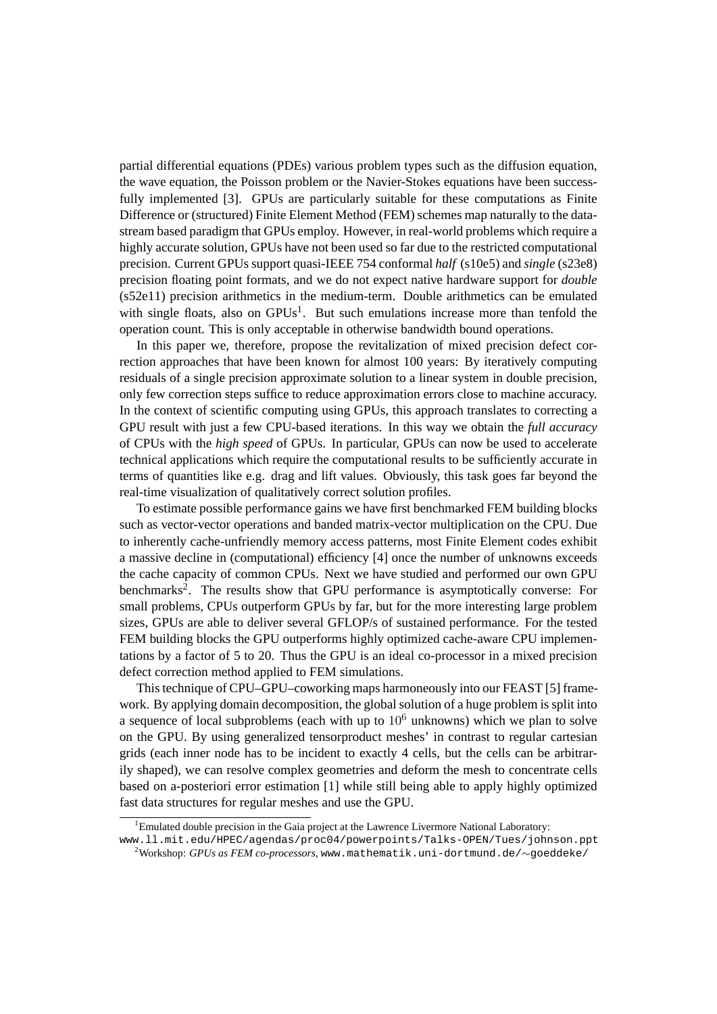partial differential equations (PDEs) various problem types such as the diffusion equation, the wave equation, the Poisson problem or the Navier-Stokes equations have been successfully implemented [\[3\]](#page-5-0). GPUs are particularly suitable for these computations as Finite Difference or (structured) Finite Element Method (FEM) schemes map naturally to the datastream based paradigm that GPUs employ. However, in real-world problems which require a highly accurate solution, GPUs have not been used so far due to the restricted computational precision. Current GPUs support quasi-IEEE 754 conformal *half* (s10e5) and *single* (s23e8) precision floating point formats, and we do not expect native hardware support for *double* (s52e11) precision arithmetics in the medium-term. Double arithmetics can be emulated with single floats, also on  $GPUs<sup>1</sup>$  $GPUs<sup>1</sup>$  $GPUs<sup>1</sup>$ . But such emulations increase more than tenfold the operation count. This is only acceptable in otherwise bandwidth bound operations.

In this paper we, therefore, propose the revitalization of mixed precision defect correction approaches that have been known for almost 100 years: By iteratively computing residuals of a single precision approximate solution to a linear system in double precision, only few correction steps suffice to reduce approximation errors close to machine accuracy. In the context of scientific computing using GPUs, this approach translates to correcting a GPU result with just a few CPU-based iterations. In this way we obtain the *full accuracy* of CPUs with the *high speed* of GPUs. In particular, GPUs can now be used to accelerate technical applications which require the computational results to be sufficiently accurate in terms of quantities like e.g. drag and lift values. Obviously, this task goes far beyond the real-time visualization of qualitatively correct solution profiles.

To estimate possible performance gains we have first benchmarked FEM building blocks such as vector-vector operations and banded matrix-vector multiplication on the CPU. Due to inherently cache-unfriendly memory access patterns, most Finite Element codes exhibit a massive decline in (computational) efficiency [\[4\]](#page-5-2) once the number of unknowns exceeds the cache capacity of common CPUs. Next we have studied and performed our own GPU benchmarks<sup>[2](#page-1-1)</sup>. The results show that GPU performance is asymptotically converse: For small problems, CPUs outperform GPUs by far, but for the more interesting large problem sizes, GPUs are able to deliver several GFLOP/s of sustained performance. For the tested FEM building blocks the GPU outperforms highly optimized cache-aware CPU implementations by a factor of 5 to 20. Thus the GPU is an ideal co-processor in a mixed precision defect correction method applied to FEM simulations.

This technique of CPU–GPU–coworking maps harmoneously into our FEAST [\[5\]](#page-5-3) framework. By applying domain decomposition, the global solution of a huge problem is split into a sequence of local subproblems (each with up to  $10<sup>6</sup>$  unknowns) which we plan to solve on the GPU. By using generalized tensorproduct meshes' in contrast to regular cartesian grids (each inner node has to be incident to exactly 4 cells, but the cells can be arbitrarily shaped), we can resolve complex geometries and deform the mesh to concentrate cells based on a-posteriori error estimation [\[1\]](#page-5-4) while still being able to apply highly optimized fast data structures for regular meshes and use the GPU.

<span id="page-1-0"></span><sup>&</sup>lt;sup>1</sup>Emulated double precision in the Gaia project at the Lawrence Livermore National Laboratory:

www.ll.mit.edu/HPEC/agendas/proc04/powerpoints/Talks-OPEN/Tues/johnson.ppt

<span id="page-1-1"></span><sup>2</sup>Workshop: *GPUs as FEM co-processors*, www.mathematik.uni-dortmund.de/∼goeddeke/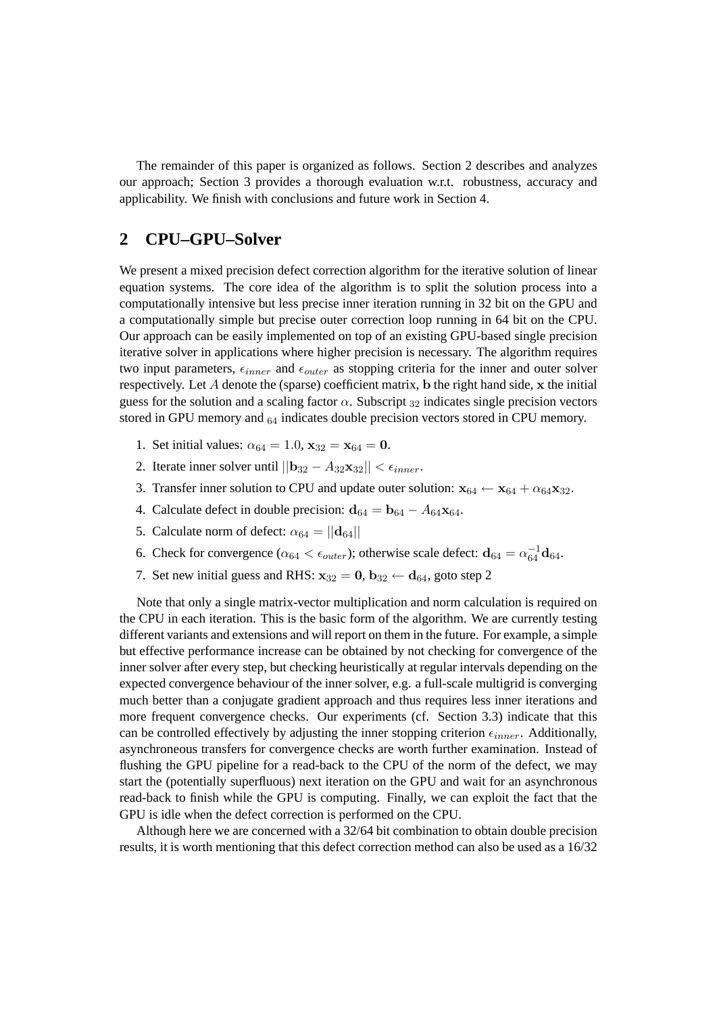The remainder of this paper is organized as follows. Section 2 describes and analyzes our approach; Section 3 provides a thorough evaluation w.r.t. robustness, accuracy and applicability. We finish with conclusions and future work in Section 4.

# <span id="page-2-0"></span>**2 CPU–GPU–Solver**

We present a mixed precision defect correction algorithm for the iterative solution of linear equation systems. The core idea of the algorithm is to split the solution process into a computationally intensive but less precise inner iteration running in 32 bit on the GPU and a computationally simple but precise outer correction loop running in 64 bit on the CPU. Our approach can be easily implemented on top of an existing GPU-based single precision iterative solver in applications where higher precision is necessary. The algorithm requires two input parameters,  $\epsilon_{inner}$  and  $\epsilon_{outer}$  as stopping criteria for the inner and outer solver respectively. Let  $A$  denote the (sparse) coefficient matrix, b the right hand side,  $x$  the initial guess for the solution and a scaling factor  $\alpha$ . Subscript  $32$  indicates single precision vectors stored in GPU memory and  $64$  indicates double precision vectors stored in CPU memory.

- 1. Set initial values:  $\alpha_{64} = 1.0$ ,  $\mathbf{x}_{32} = \mathbf{x}_{64} = 0$ .
- 2. Iterate inner solver until  $||\mathbf{b}_{32} A_{32}\mathbf{x}_{32}|| < \epsilon_{inner}$ .
- 3. Transfer inner solution to CPU and update outer solution:  $x_{64} \leftarrow x_{64} + \alpha_{64}x_{32}$ .
- 4. Calculate defect in double precision:  $d_{64} = b_{64} A_{64}x_{64}$ .
- 5. Calculate norm of defect:  $\alpha_{64} = ||\mathbf{d}_{64}||$
- 6. Check for convergence ( $\alpha_{64} < \epsilon_{outer}$ ); otherwise scale defect:  $\mathbf{d}_{64} = \alpha_{64}^{-1} \mathbf{d}_{64}$ .
- 7. Set new initial guess and RHS:  $x_{32} = 0$ ,  $b_{32} \leftarrow d_{64}$ , goto step 2

Note that only a single matrix-vector multiplication and norm calculation is required on the CPU in each iteration. This is the basic form of the algorithm. We are currently testing different variants and extensions and will report on them in the future. For example, a simple but effective performance increase can be obtained by not checking for convergence of the inner solver after every step, but checking heuristically at regular intervals depending on the expected convergence behaviour of the inner solver, e.g. a full-scale multigrid is converging much better than a conjugate gradient approach and thus requires less inner iterations and more frequent convergence checks. Our experiments (cf. Section [3.3\)](#page-4-0) indicate that this can be controlled effectively by adjusting the inner stopping criterion  $\epsilon_{inner}$ . Additionally, asynchroneous transfers for convergence checks are worth further examination. Instead of flushing the GPU pipeline for a read-back to the CPU of the norm of the defect, we may start the (potentially superfluous) next iteration on the GPU and wait for an asynchronous read-back to finish while the GPU is computing. Finally, we can exploit the fact that the GPU is idle when the defect correction is performed on the CPU.

Although here we are concerned with a 32/64 bit combination to obtain double precision results, it is worth mentioning that this defect correction method can also be used as a 16/32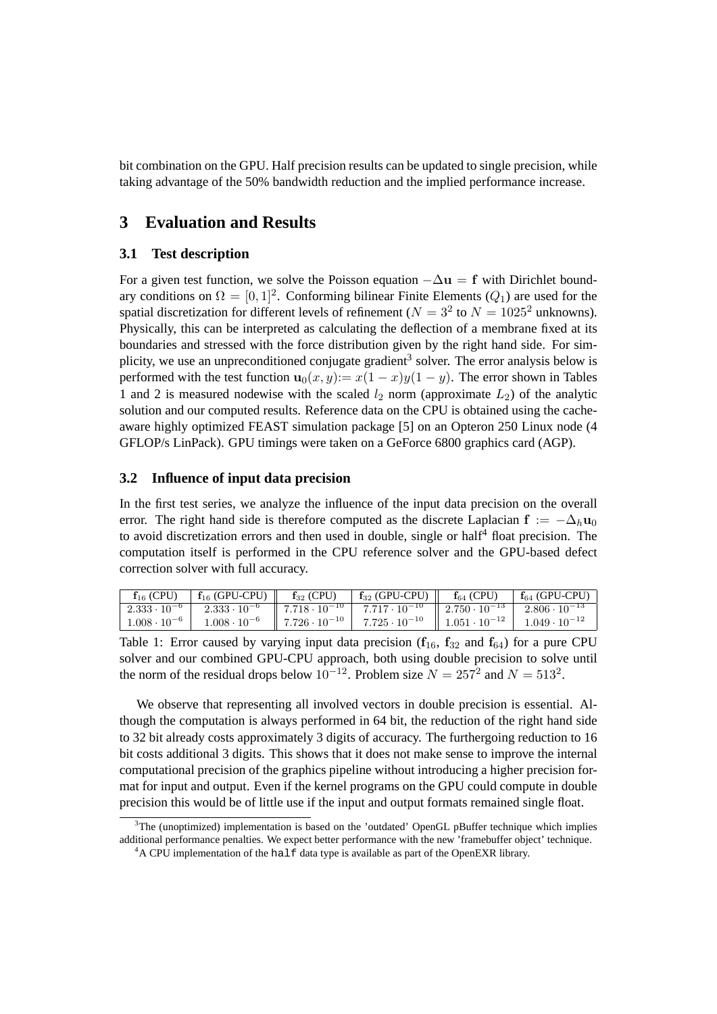bit combination on the GPU. Half precision results can be updated to single precision, while taking advantage of the 50% bandwidth reduction and the implied performance increase.

## **3 Evaluation and Results**

#### **3.1 Test description**

For a given test function, we solve the Poisson equation  $-\Delta u = f$  with Dirichlet boundary conditions on  $\Omega = [0, 1]^2$ . Conforming bilinear Finite Elements ( $Q_1$ ) are used for the spatial discretization for different levels of refinement ( $N = 3^2$  to  $N = 1025^2$  unknowns). Physically, this can be interpreted as calculating the deflection of a membrane fixed at its boundaries and stressed with the force distribution given by the right hand side. For sim-plicity, we use an unpreconditioned conjugate gradient<sup>[3](#page-3-0)</sup> solver. The error analysis below is performed with the test function  $\mathbf{u}_0(x, y) := x(1 - x)y(1 - y)$ . The error shown in Tables [1](#page-3-1) and [2](#page-4-1) is measured nodewise with the scaled  $l_2$  norm (approximate  $L_2$ ) of the analytic solution and our computed results. Reference data on the CPU is obtained using the cacheaware highly optimized FEAST simulation package [\[5\]](#page-5-3) on an Opteron 250 Linux node (4 GFLOP/s LinPack). GPU timings were taken on a GeForce 6800 graphics card (AGP).

#### **3.2 Influence of input data precision**

In the first test series, we analyze the influence of the input data precision on the overall error. The right hand side is therefore computed as the discrete Laplacian  $f := -\Delta_h u_0$ to avoid discretization errors and then used in double, single or half<sup>[4](#page-3-2)</sup> float precision. The computation itself is performed in the CPU reference solver and the GPU-based defect correction solver with full accuracy.

| $f_{16}$ (CPU)        | $f_{16}$ (GPU-CPU)    | $f_{32}$ (CPU)                                          | $f_{32}$ (GPU-CPU) $\parallel$ $f_{64}$ (CPU)                                                                                       | $f_{64}$ (GPU-CPU) |
|-----------------------|-----------------------|---------------------------------------------------------|-------------------------------------------------------------------------------------------------------------------------------------|--------------------|
| $2.333 \cdot 10^{-6}$ |                       |                                                         | $2.333 \cdot 10^{-6}$ $\parallel$ 7.718 $\cdot 10^{-10}$   7.717 $\cdot 10^{-10}$   2.750 $\cdot 10^{-13}$   2.806 $\cdot 10^{-13}$ |                    |
| $1.008 \cdot 10^{-6}$ | $1.008 \cdot 10^{-6}$ | $\parallel$ 7.726 $\cdot$ 10 <sup>-10</sup> $\parallel$ | 7.725 $\cdot$ 10 <sup>-10</sup>   1.051 $\cdot$ 10 <sup>-12</sup>   1.049 $\cdot$ 10 <sup>-12</sup>                                 |                    |

<span id="page-3-1"></span>Table 1: Error caused by varying input data precision ( $f_{16}$ ,  $f_{32}$  and  $f_{64}$ ) for a pure CPU solver and our combined GPU-CPU approach, both using double precision to solve until the norm of the residual drops below  $10^{-12}$ . Problem size  $N = 257^2$  and  $N = 513^2$ .

We observe that representing all involved vectors in double precision is essential. Although the computation is always performed in 64 bit, the reduction of the right hand side to 32 bit already costs approximately 3 digits of accuracy. The furthergoing reduction to 16 bit costs additional 3 digits. This shows that it does not make sense to improve the internal computational precision of the graphics pipeline without introducing a higher precision format for input and output. Even if the kernel programs on the GPU could compute in double precision this would be of little use if the input and output formats remained single float.

<span id="page-3-0"></span> $3$ The (unoptimized) implementation is based on the 'outdated' OpenGL pBuffer technique which implies additional performance penalties. We expect better performance with the new 'framebuffer object' technique.

<span id="page-3-2"></span> $4A$  CPU implementation of the half data type is available as part of the OpenEXR library.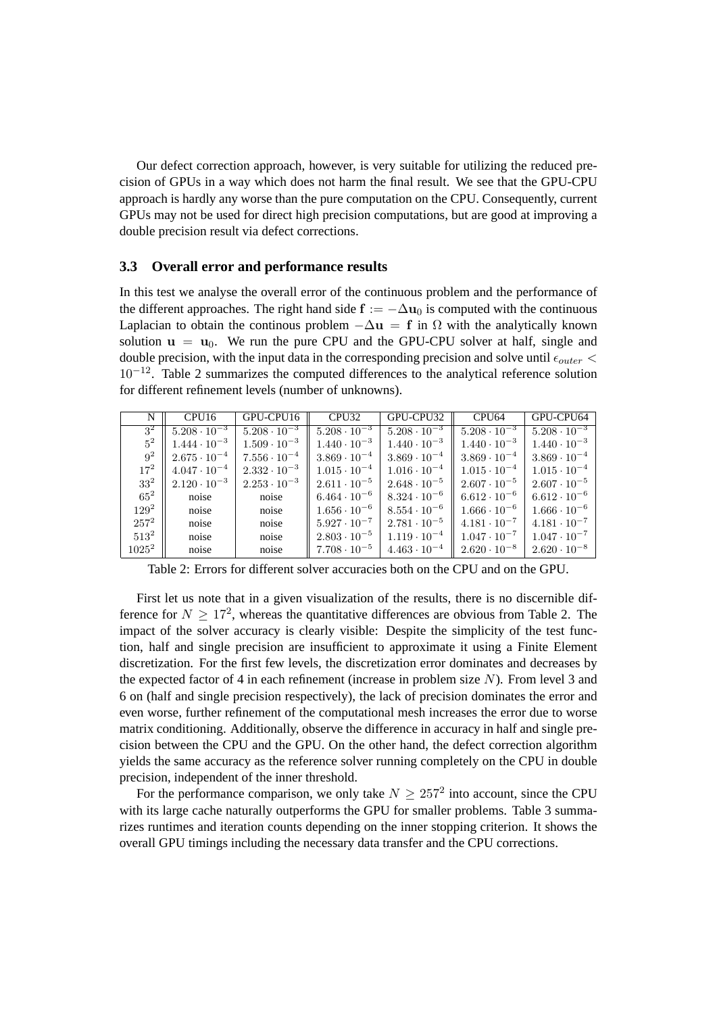Our defect correction approach, however, is very suitable for utilizing the reduced precision of GPUs in a way which does not harm the final result. We see that the GPU-CPU approach is hardly any worse than the pure computation on the CPU. Consequently, current GPUs may not be used for direct high precision computations, but are good at improving a double precision result via defect corrections.

#### <span id="page-4-0"></span>**3.3 Overall error and performance results**

In this test we analyse the overall error of the continuous problem and the performance of the different approaches. The right hand side  $f := -\Delta u_0$  is computed with the continuous Laplacian to obtain the continous problem  $-\Delta u = f$  in  $\Omega$  with the analytically known solution  $\mathbf{u} = \mathbf{u}_0$ . We run the pure CPU and the GPU-CPU solver at half, single and double precision, with the input data in the corresponding precision and solve until  $\epsilon_{outer} <$  $10^{-12}$ . Table [2](#page-4-1) summarizes the computed differences to the analytical reference solution for different refinement levels (number of unknowns).

| N               | CPU <sub>16</sub>     | GPU-CPU16             | CPU <sub>32</sub>     | GPU-CPU32             | CPU <sub>64</sub>     | GPU-CPU64             |
|-----------------|-----------------------|-----------------------|-----------------------|-----------------------|-----------------------|-----------------------|
| $3^2$           | $5.208 \cdot 10^{-3}$ | $5.208 \cdot 10^{-3}$ | $5.208 \cdot 10^{-3}$ | $5.208 \cdot 10^{-3}$ | $5.208 \cdot 10^{-3}$ | $5.208 \cdot 10^{-3}$ |
| $5^2$           | $1.444 \cdot 10^{-3}$ | $1.509 \cdot 10^{-3}$ | $1.440 \cdot 10^{-3}$ | $1.440 \cdot 10^{-3}$ | $1.440 \cdot 10^{-3}$ | $1.440 \cdot 10^{-3}$ |
| $9^2$           | $2.675 \cdot 10^{-4}$ | $7.556 \cdot 10^{-4}$ | $3.869 \cdot 10^{-4}$ | $3.869 \cdot 10^{-4}$ | $3.869 \cdot 10^{-4}$ | $3.869 \cdot 10^{-4}$ |
| $17^{2}$        | $4.047 \cdot 10^{-4}$ | $2.332 \cdot 10^{-3}$ | $1.015 \cdot 10^{-4}$ | $1.016 \cdot 10^{-4}$ | $1.015 \cdot 10^{-4}$ | $1.015 \cdot 10^{-4}$ |
| 33 <sup>2</sup> | $2.120 \cdot 10^{-3}$ | $2.253 \cdot 10^{-3}$ | $2.611 \cdot 10^{-5}$ | $2.648 \cdot 10^{-5}$ | $2.607 \cdot 10^{-5}$ | $2.607 \cdot 10^{-5}$ |
| $65^2$          | noise                 | noise                 | $6.464 \cdot 10^{-6}$ | $8.324 \cdot 10^{-6}$ | $6.612 \cdot 10^{-6}$ | $6.612 \cdot 10^{-6}$ |
| $129^2$         | noise                 | noise                 | $1.656 \cdot 10^{-6}$ | $8.554 \cdot 10^{-6}$ | $1.666 \cdot 10^{-6}$ | $1.666 \cdot 10^{-6}$ |
| $257^2$         | noise                 | noise                 | $5.927 \cdot 10^{-7}$ | $2.781 \cdot 10^{-5}$ | $4.181 \cdot 10^{-7}$ | $4.181 \cdot 10^{-7}$ |
| $513^2$         | noise                 | noise                 | $2.803 \cdot 10^{-5}$ | $1.119 \cdot 10^{-4}$ | $1.047 \cdot 10^{-7}$ | $1.047 \cdot 10^{-7}$ |
| $1025^2$        | noise                 | noise                 | $7.708 \cdot 10^{-5}$ | $4.463 \cdot 10^{-4}$ | $2.620 \cdot 10^{-8}$ | $2.620 \cdot 10^{-8}$ |

<span id="page-4-1"></span>Table 2: Errors for different solver accuracies both on the CPU and on the GPU.

First let us note that in a given visualization of the results, there is no discernible difference for  $N \geq 17^2$ , whereas the quantitative differences are obvious from Table [2.](#page-4-1) The impact of the solver accuracy is clearly visible: Despite the simplicity of the test function, half and single precision are insufficient to approximate it using a Finite Element discretization. For the first few levels, the discretization error dominates and decreases by the expected factor of 4 in each refinement (increase in problem size  $N$ ). From level 3 and 6 on (half and single precision respectively), the lack of precision dominates the error and even worse, further refinement of the computational mesh increases the error due to worse matrix conditioning. Additionally, observe the difference in accuracy in half and single precision between the CPU and the GPU. On the other hand, the defect correction algorithm yields the same accuracy as the reference solver running completely on the CPU in double precision, independent of the inner threshold.

For the performance comparison, we only take  $N \ge 257^2$  into account, since the CPU with its large cache naturally outperforms the GPU for smaller problems. Table [3](#page-5-5) summarizes runtimes and iteration counts depending on the inner stopping criterion. It shows the overall GPU timings including the necessary data transfer and the CPU corrections.